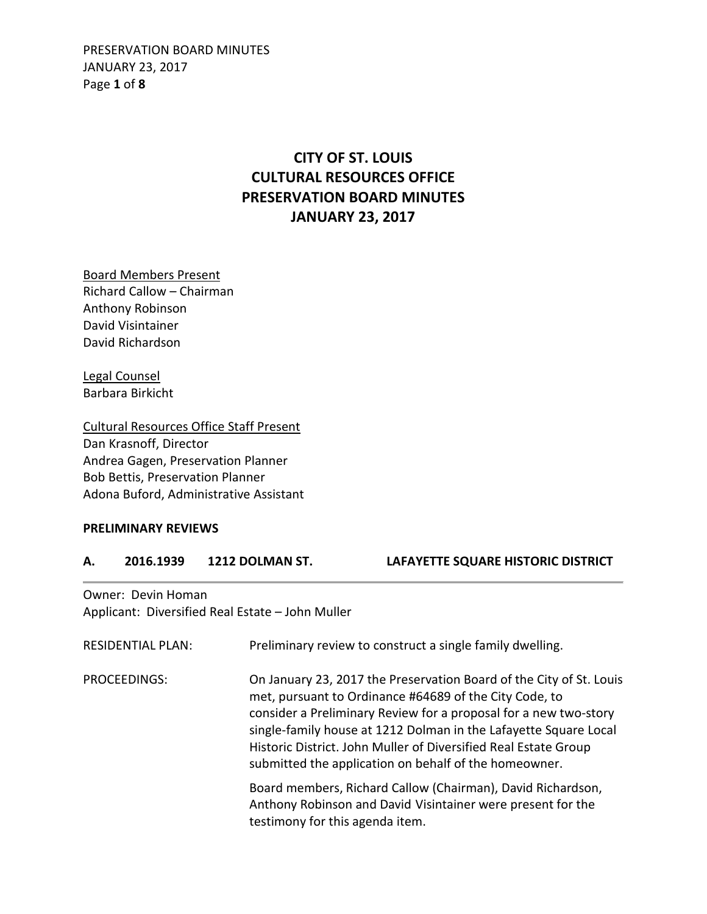PRESERVATION BOARD MINUTES JANUARY 23, 2017 Page **1** of **8**

## **CITY OF ST. LOUIS CULTURAL RESOURCES OFFICE PRESERVATION BOARD MINUTES JANUARY 23, 2017**

Board Members Present Richard Callow – Chairman Anthony Robinson David Visintainer David Richardson

Legal Counsel Barbara Birkicht

Cultural Resources Office Staff Present Dan Krasnoff, Director Andrea Gagen, Preservation Planner Bob Bettis, Preservation Planner Adona Buford, Administrative Assistant

### **PRELIMINARY REVIEWS**

#### **A. 2016.1939 1212 DOLMAN ST. LAFAYETTE SQUARE HISTORIC DISTRICT**

Owner: Devin Homan Applicant: Diversified Real Estate – John Muller

| <b>RESIDENTIAL PLAN:</b> | Preliminary review to construct a single family dwelling.                                                                                                                                                                                                                                                                                                                                         |
|--------------------------|---------------------------------------------------------------------------------------------------------------------------------------------------------------------------------------------------------------------------------------------------------------------------------------------------------------------------------------------------------------------------------------------------|
| PROCEEDINGS:             | On January 23, 2017 the Preservation Board of the City of St. Louis<br>met, pursuant to Ordinance #64689 of the City Code, to<br>consider a Preliminary Review for a proposal for a new two-story<br>single-family house at 1212 Dolman in the Lafayette Square Local<br>Historic District. John Muller of Diversified Real Estate Group<br>submitted the application on behalf of the homeowner. |
|                          | Board members, Richard Callow (Chairman), David Richardson,<br>Anthony Robinson and David Visintainer were present for the<br>testimony for this agenda item.                                                                                                                                                                                                                                     |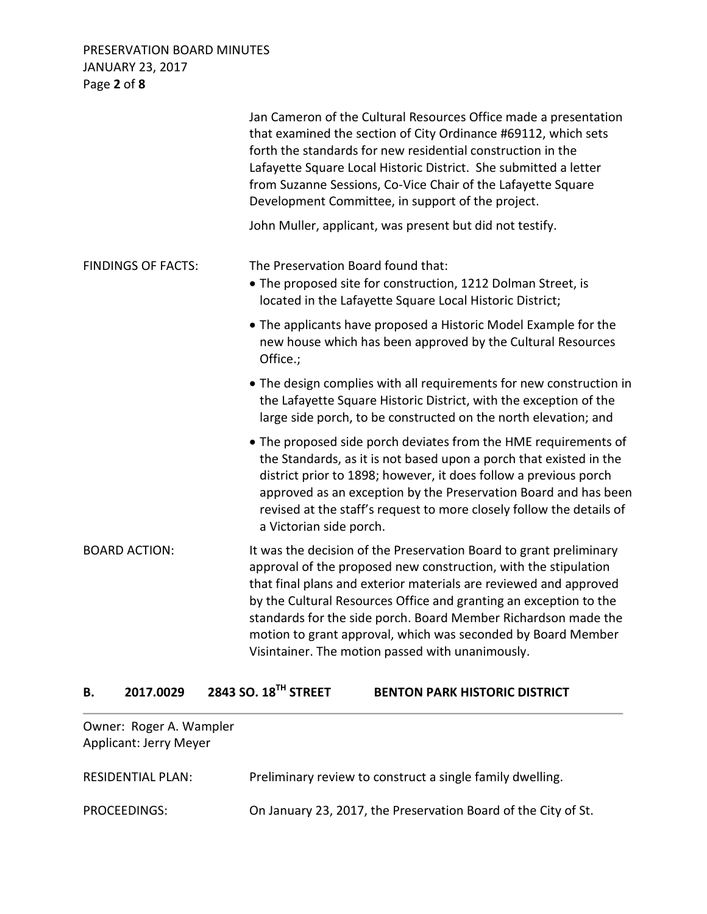PRESERVATION BOARD MINUTES JANUARY 23, 2017 Page **2** of **8**

|                           | Jan Cameron of the Cultural Resources Office made a presentation<br>that examined the section of City Ordinance #69112, which sets<br>forth the standards for new residential construction in the<br>Lafayette Square Local Historic District. She submitted a letter<br>from Suzanne Sessions, Co-Vice Chair of the Lafayette Square<br>Development Committee, in support of the project.                                                                            |
|---------------------------|-----------------------------------------------------------------------------------------------------------------------------------------------------------------------------------------------------------------------------------------------------------------------------------------------------------------------------------------------------------------------------------------------------------------------------------------------------------------------|
|                           | John Muller, applicant, was present but did not testify.                                                                                                                                                                                                                                                                                                                                                                                                              |
| <b>FINDINGS OF FACTS:</b> | The Preservation Board found that:<br>• The proposed site for construction, 1212 Dolman Street, is<br>located in the Lafayette Square Local Historic District;                                                                                                                                                                                                                                                                                                        |
|                           | • The applicants have proposed a Historic Model Example for the<br>new house which has been approved by the Cultural Resources<br>Office.;                                                                                                                                                                                                                                                                                                                            |
|                           | • The design complies with all requirements for new construction in<br>the Lafayette Square Historic District, with the exception of the<br>large side porch, to be constructed on the north elevation; and                                                                                                                                                                                                                                                           |
|                           | • The proposed side porch deviates from the HME requirements of<br>the Standards, as it is not based upon a porch that existed in the<br>district prior to 1898; however, it does follow a previous porch<br>approved as an exception by the Preservation Board and has been<br>revised at the staff's request to more closely follow the details of<br>a Victorian side porch.                                                                                       |
| <b>BOARD ACTION:</b>      | It was the decision of the Preservation Board to grant preliminary<br>approval of the proposed new construction, with the stipulation<br>that final plans and exterior materials are reviewed and approved<br>by the Cultural Resources Office and granting an exception to the<br>standards for the side porch. Board Member Richardson made the<br>motion to grant approval, which was seconded by Board Member<br>Visintainer. The motion passed with unanimously. |

# **B. 2017.0029 2843 SO. 18TH STREET BENTON PARK HISTORIC DISTRICT**

| Owner: Roger A. Wampler<br><b>Applicant: Jerry Meyer</b> |                                                                |
|----------------------------------------------------------|----------------------------------------------------------------|
| RESIDENTIAL PLAN:                                        | Preliminary review to construct a single family dwelling.      |
| PROCEEDINGS:                                             | On January 23, 2017, the Preservation Board of the City of St. |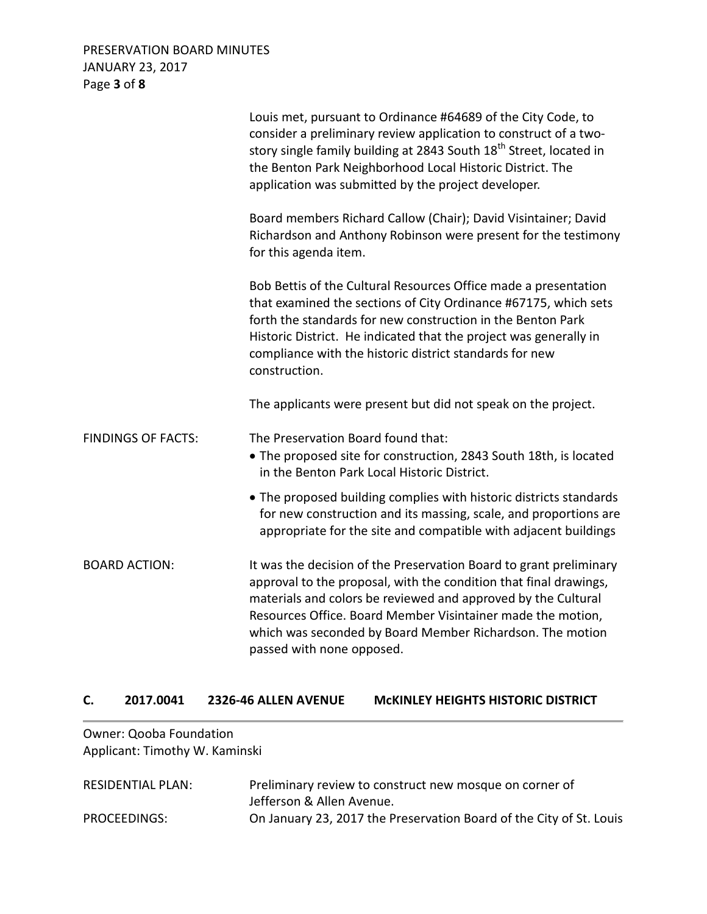### PRESERVATION BOARD MINUTES JANUARY 23, 2017 Page **3** of **8**

|                           | Louis met, pursuant to Ordinance #64689 of the City Code, to<br>consider a preliminary review application to construct of a two-<br>story single family building at 2843 South 18 <sup>th</sup> Street, located in<br>the Benton Park Neighborhood Local Historic District. The<br>application was submitted by the project developer.                            |
|---------------------------|-------------------------------------------------------------------------------------------------------------------------------------------------------------------------------------------------------------------------------------------------------------------------------------------------------------------------------------------------------------------|
|                           | Board members Richard Callow (Chair); David Visintainer; David<br>Richardson and Anthony Robinson were present for the testimony<br>for this agenda item.                                                                                                                                                                                                         |
|                           | Bob Bettis of the Cultural Resources Office made a presentation<br>that examined the sections of City Ordinance #67175, which sets<br>forth the standards for new construction in the Benton Park<br>Historic District. He indicated that the project was generally in<br>compliance with the historic district standards for new<br>construction.                |
|                           | The applicants were present but did not speak on the project.                                                                                                                                                                                                                                                                                                     |
| <b>FINDINGS OF FACTS:</b> | The Preservation Board found that:<br>• The proposed site for construction, 2843 South 18th, is located<br>in the Benton Park Local Historic District.                                                                                                                                                                                                            |
|                           | • The proposed building complies with historic districts standards<br>for new construction and its massing, scale, and proportions are<br>appropriate for the site and compatible with adjacent buildings                                                                                                                                                         |
| <b>BOARD ACTION:</b>      | It was the decision of the Preservation Board to grant preliminary<br>approval to the proposal, with the condition that final drawings,<br>materials and colors be reviewed and approved by the Cultural<br>Resources Office. Board Member Visintainer made the motion,<br>which was seconded by Board Member Richardson. The motion<br>passed with none opposed. |

### **C. 2017.0041 2326-46 ALLEN AVENUE McKINLEY HEIGHTS HISTORIC DISTRICT**

### Owner: Qooba Foundation Applicant: Timothy W. Kaminski

| <b>RESIDENTIAL PLAN:</b> | Preliminary review to construct new mosque on corner of             |
|--------------------------|---------------------------------------------------------------------|
|                          | Jefferson & Allen Avenue.                                           |
| PROCEEDINGS:             | On January 23, 2017 the Preservation Board of the City of St. Louis |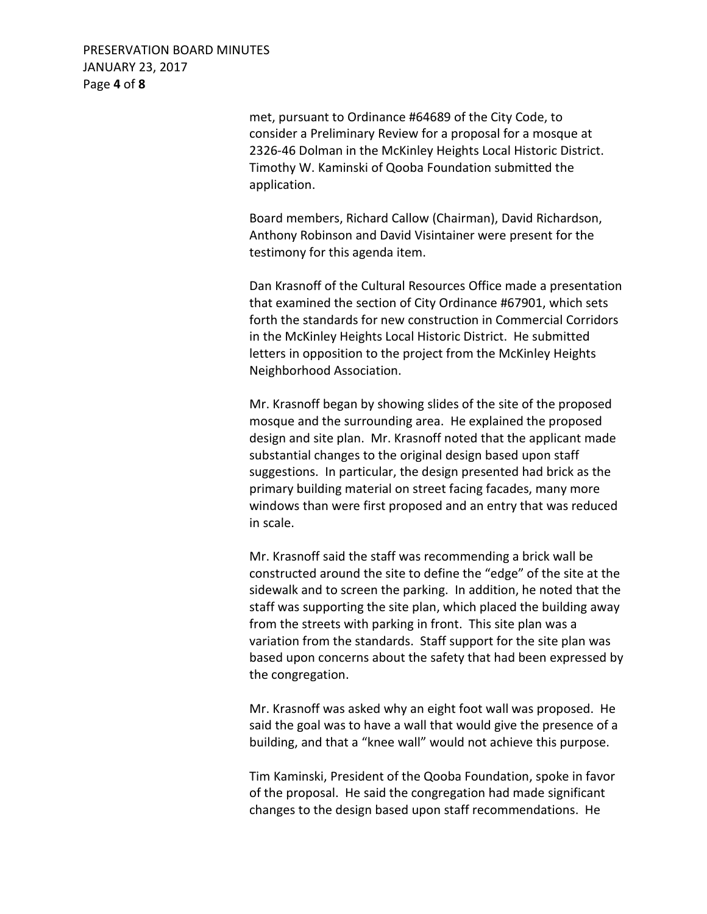PRESERVATION BOARD MINUTES JANUARY 23, 2017 Page **4** of **8**

> met, pursuant to Ordinance #64689 of the City Code, to consider a Preliminary Review for a proposal for a mosque at 2326-46 Dolman in the McKinley Heights Local Historic District. Timothy W. Kaminski of Qooba Foundation submitted the application.

> Board members, Richard Callow (Chairman), David Richardson, Anthony Robinson and David Visintainer were present for the testimony for this agenda item.

 Dan Krasnoff of the Cultural Resources Office made a presentation that examined the section of City Ordinance #67901, which sets forth the standards for new construction in Commercial Corridors in the McKinley Heights Local Historic District. He submitted letters in opposition to the project from the McKinley Heights Neighborhood Association.

Mr. Krasnoff began by showing slides of the site of the proposed mosque and the surrounding area. He explained the proposed design and site plan. Mr. Krasnoff noted that the applicant made substantial changes to the original design based upon staff suggestions. In particular, the design presented had brick as the primary building material on street facing facades, many more windows than were first proposed and an entry that was reduced in scale.

 Mr. Krasnoff said the staff was recommending a brick wall be constructed around the site to define the "edge" of the site at the sidewalk and to screen the parking. In addition, he noted that the staff was supporting the site plan, which placed the building away from the streets with parking in front. This site plan was a variation from the standards. Staff support for the site plan was based upon concerns about the safety that had been expressed by the congregation.

Mr. Krasnoff was asked why an eight foot wall was proposed. He said the goal was to have a wall that would give the presence of a building, and that a "knee wall" would not achieve this purpose.

 Tim Kaminski, President of the Qooba Foundation, spoke in favor of the proposal. He said the congregation had made significant changes to the design based upon staff recommendations. He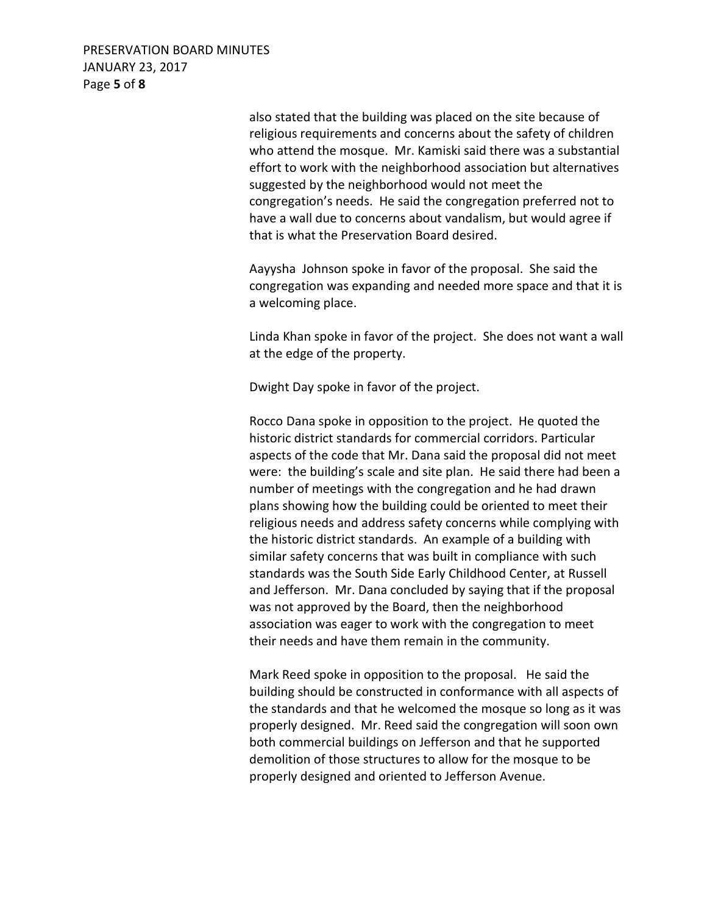PRESERVATION BOARD MINUTES JANUARY 23, 2017 Page **5** of **8**

> also stated that the building was placed on the site because of religious requirements and concerns about the safety of children who attend the mosque. Mr. Kamiski said there was a substantial effort to work with the neighborhood association but alternatives suggested by the neighborhood would not meet the congregation's needs. He said the congregation preferred not to have a wall due to concerns about vandalism, but would agree if that is what the Preservation Board desired.

> Aayysha Johnson spoke in favor of the proposal. She said the congregation was expanding and needed more space and that it is a welcoming place.

> Linda Khan spoke in favor of the project. She does not want a wall at the edge of the property.

Dwight Day spoke in favor of the project.

 Rocco Dana spoke in opposition to the project. He quoted the historic district standards for commercial corridors. Particular aspects of the code that Mr. Dana said the proposal did not meet were: the building's scale and site plan. He said there had been a number of meetings with the congregation and he had drawn plans showing how the building could be oriented to meet their religious needs and address safety concerns while complying with the historic district standards. An example of a building with similar safety concerns that was built in compliance with such standards was the South Side Early Childhood Center, at Russell and Jefferson. Mr. Dana concluded by saying that if the proposal was not approved by the Board, then the neighborhood association was eager to work with the congregation to meet their needs and have them remain in the community.

Mark Reed spoke in opposition to the proposal. He said the building should be constructed in conformance with all aspects of the standards and that he welcomed the mosque so long as it was properly designed. Mr. Reed said the congregation will soon own both commercial buildings on Jefferson and that he supported demolition of those structures to allow for the mosque to be properly designed and oriented to Jefferson Avenue.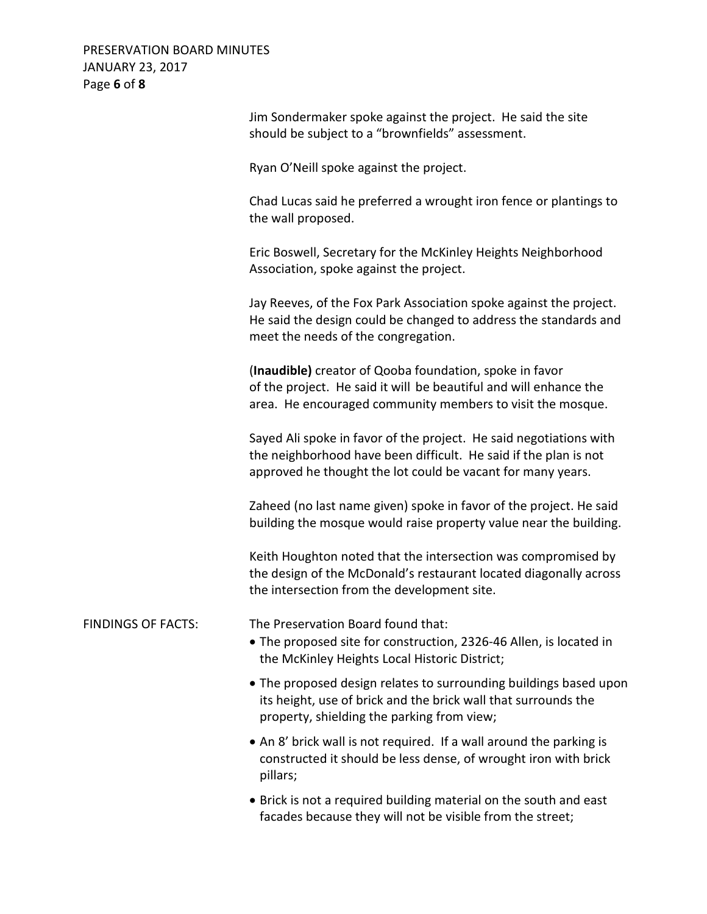PRESERVATION BOARD MINUTES JANUARY 23, 2017 Page **6** of **8**

|                           | Jim Sondermaker spoke against the project. He said the site<br>should be subject to a "brownfields" assessment.                                                                                       |
|---------------------------|-------------------------------------------------------------------------------------------------------------------------------------------------------------------------------------------------------|
|                           | Ryan O'Neill spoke against the project.                                                                                                                                                               |
|                           | Chad Lucas said he preferred a wrought iron fence or plantings to<br>the wall proposed.                                                                                                               |
|                           | Eric Boswell, Secretary for the McKinley Heights Neighborhood<br>Association, spoke against the project.                                                                                              |
|                           | Jay Reeves, of the Fox Park Association spoke against the project.<br>He said the design could be changed to address the standards and<br>meet the needs of the congregation.                         |
|                           | (Inaudible) creator of Qooba foundation, spoke in favor<br>of the project. He said it will be beautiful and will enhance the<br>area. He encouraged community members to visit the mosque.            |
|                           | Sayed Ali spoke in favor of the project. He said negotiations with<br>the neighborhood have been difficult. He said if the plan is not<br>approved he thought the lot could be vacant for many years. |
|                           | Zaheed (no last name given) spoke in favor of the project. He said<br>building the mosque would raise property value near the building.                                                               |
|                           | Keith Houghton noted that the intersection was compromised by<br>the design of the McDonald's restaurant located diagonally across<br>the intersection from the development site.                     |
| <b>FINDINGS OF FACTS:</b> | The Preservation Board found that:<br>. The proposed site for construction, 2326-46 Allen, is located in<br>the McKinley Heights Local Historic District;                                             |
|                           | • The proposed design relates to surrounding buildings based upon<br>its height, use of brick and the brick wall that surrounds the<br>property, shielding the parking from view;                     |
|                           | • An 8' brick wall is not required. If a wall around the parking is<br>constructed it should be less dense, of wrought iron with brick<br>pillars;                                                    |
|                           | • Brick is not a required building material on the south and east<br>facades because they will not be visible from the street;                                                                        |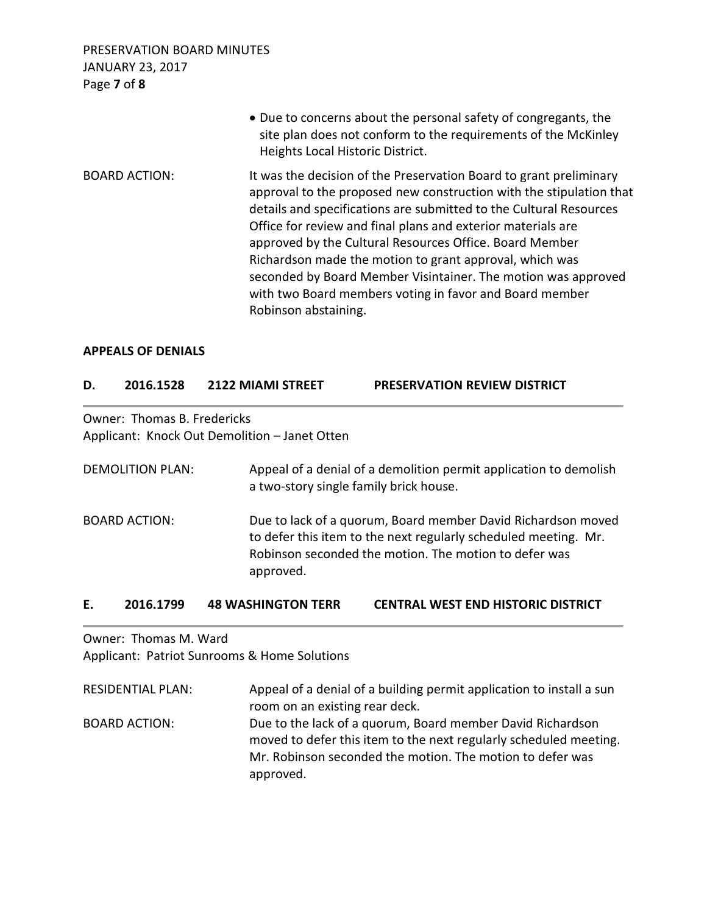PRESERVATION BOARD MINUTES JANUARY 23, 2017 Page **7** of **8**

|                      | • Due to concerns about the personal safety of congregants, the<br>site plan does not conform to the requirements of the McKinley<br>Heights Local Historic District.                                                                                                                                                                                                                                                                                                                                                                                     |
|----------------------|-----------------------------------------------------------------------------------------------------------------------------------------------------------------------------------------------------------------------------------------------------------------------------------------------------------------------------------------------------------------------------------------------------------------------------------------------------------------------------------------------------------------------------------------------------------|
| <b>BOARD ACTION:</b> | It was the decision of the Preservation Board to grant preliminary<br>approval to the proposed new construction with the stipulation that<br>details and specifications are submitted to the Cultural Resources<br>Office for review and final plans and exterior materials are<br>approved by the Cultural Resources Office. Board Member<br>Richardson made the motion to grant approval, which was<br>seconded by Board Member Visintainer. The motion was approved<br>with two Board members voting in favor and Board member<br>Robinson abstaining. |

#### **APPEALS OF DENIALS**

### **D. 2016.1528 2122 MIAMI STREET PRESERVATION REVIEW DISTRICT**

Owner: Thomas B. Fredericks Applicant: Knock Out Demolition – Janet Otten

| <b>DEMOLITION PLAN:</b> | Appeal of a denial of a demolition permit application to demolish<br>a two-story single family brick house.                                                                                           |
|-------------------------|-------------------------------------------------------------------------------------------------------------------------------------------------------------------------------------------------------|
| <b>BOARD ACTION:</b>    | Due to lack of a quorum, Board member David Richardson moved<br>to defer this item to the next regularly scheduled meeting. Mr.<br>Robinson seconded the motion. The motion to defer was<br>approved. |

### **E. 2016.1799 48 WASHINGTON TERR CENTRAL WEST END HISTORIC DISTRICT**

Owner: Thomas M. Ward Applicant: Patriot Sunrooms & Home Solutions

| <b>RESIDENTIAL PLAN:</b> | Appeal of a denial of a building permit application to install a sun |
|--------------------------|----------------------------------------------------------------------|
|                          | room on an existing rear deck.                                       |
| <b>BOARD ACTION:</b>     | Due to the lack of a quorum, Board member David Richardson           |
|                          | moved to defer this item to the next regularly scheduled meeting.    |
|                          | Mr. Robinson seconded the motion. The motion to defer was            |
|                          | approved.                                                            |